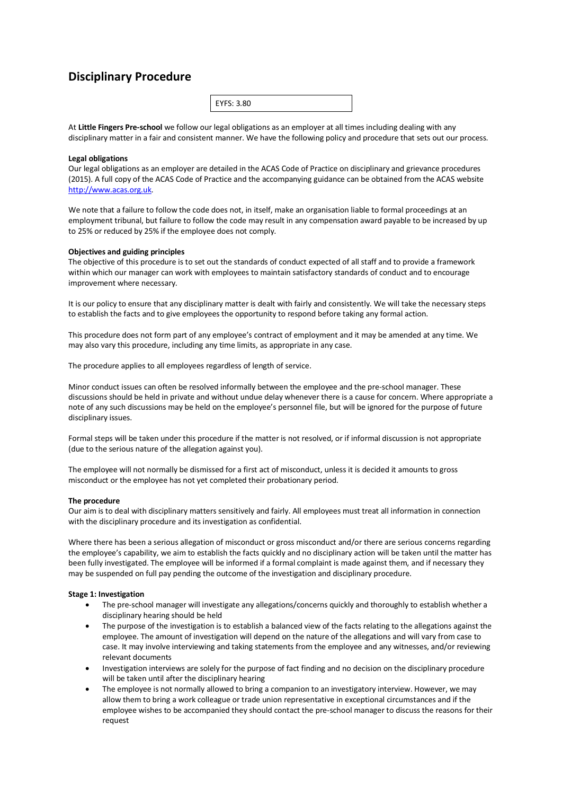# **Disciplinary Procedure**

|--|--|--|

At **Little Fingers Pre-school** we follow our legal obligations as an employer at all times including dealing with any disciplinary matter in a fair and consistent manner. We have the following policy and procedure that sets out our process.

# **Legal obligations**

Our legal obligations as an employer are detailed in the ACAS Code of Practice on disciplinary and grievance procedures (2015). A full copy of the ACAS Code of Practice and the accompanying guidance can be obtained from the ACAS website http://www.acas.org.uk.

We note that a failure to follow the code does not, in itself, make an organisation liable to formal proceedings at an employment tribunal, but failure to follow the code may result in any compensation award payable to be increased by up to 25% or reduced by 25% if the employee does not comply.

#### **Objectives and guiding principles**

The objective of this procedure is to set out the standards of conduct expected of all staff and to provide a framework within which our manager can work with employees to maintain satisfactory standards of conduct and to encourage improvement where necessary.

It is our policy to ensure that any disciplinary matter is dealt with fairly and consistently. We will take the necessary steps to establish the facts and to give employees the opportunity to respond before taking any formal action.

This procedure does not form part of any employee's contract of employment and it may be amended at any time. We may also vary this procedure, including any time limits, as appropriate in any case.

The procedure applies to all employees regardless of length of service.

Minor conduct issues can often be resolved informally between the employee and the pre-school manager. These discussions should be held in private and without undue delay whenever there is a cause for concern. Where appropriate a note of any such discussions may be held on the employee's personnel file, but will be ignored for the purpose of future disciplinary issues.

Formal steps will be taken under this procedure if the matter is not resolved, or if informal discussion is not appropriate (due to the serious nature of the allegation against you).

The employee will not normally be dismissed for a first act of misconduct, unless it is decided it amounts to gross misconduct or the employee has not yet completed their probationary period.

#### **The procedure**

Our aim is to deal with disciplinary matters sensitively and fairly. All employees must treat all information in connection with the disciplinary procedure and its investigation as confidential.

Where there has been a serious allegation of misconduct or gross misconduct and/or there are serious concerns regarding the employee's capability, we aim to establish the facts quickly and no disciplinary action will be taken until the matter has been fully investigated. The employee will be informed if a formal complaint is made against them, and if necessary they may be suspended on full pay pending the outcome of the investigation and disciplinary procedure.

#### **Stage 1: Investigation**

- The pre-school manager will investigate any allegations/concerns quickly and thoroughly to establish whether a disciplinary hearing should be held
- The purpose of the investigation is to establish a balanced view of the facts relating to the allegations against the employee. The amount of investigation will depend on the nature of the allegations and will vary from case to case. It may involve interviewing and taking statements from the employee and any witnesses, and/or reviewing relevant documents
- Investigation interviews are solely for the purpose of fact finding and no decision on the disciplinary procedure will be taken until after the disciplinary hearing
- The employee is not normally allowed to bring a companion to an investigatory interview. However, we may allow them to bring a work colleague or trade union representative in exceptional circumstances and if the employee wishes to be accompanied they should contact the pre-school manager to discuss the reasons for their request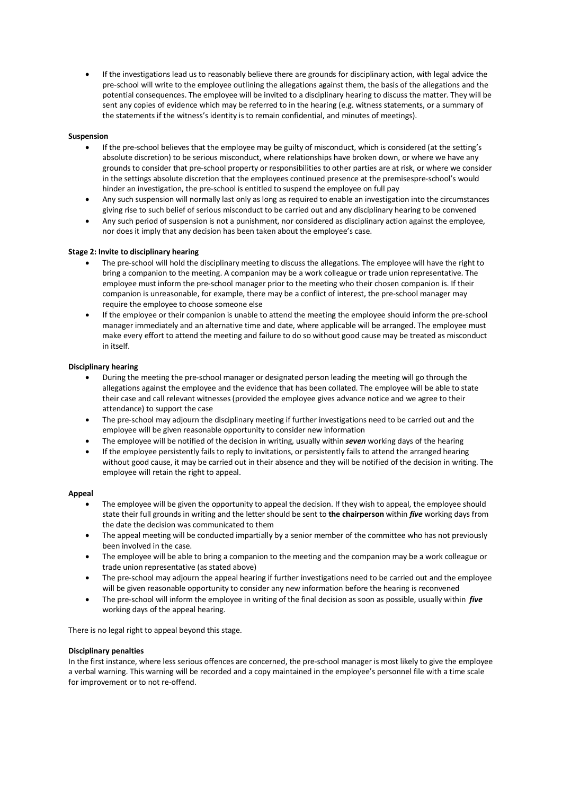• If the investigations lead us to reasonably believe there are grounds for disciplinary action, with legal advice the pre-school will write to the employee outlining the allegations against them, the basis of the allegations and the potential consequences. The employee will be invited to a disciplinary hearing to discuss the matter. They will be sent any copies of evidence which may be referred to in the hearing (e.g. witness statements, or a summary of the statements if the witness's identity is to remain confidential, and minutes of meetings).

# **Suspension**

- If the pre-school believes that the employee may be guilty of misconduct, which is considered (at the setting's absolute discretion) to be serious misconduct, where relationships have broken down, or where we have any grounds to consider that pre-school property or responsibilities to other parties are at risk, or where we consider in the settings absolute discretion that the employees continued presence at the premisespre-school's would hinder an investigation, the pre-school is entitled to suspend the employee on full pay
- Any such suspension will normally last only as long as required to enable an investigation into the circumstances giving rise to such belief of serious misconduct to be carried out and any disciplinary hearing to be convened
- Any such period of suspension is not a punishment, nor considered as disciplinary action against the employee, nor does it imply that any decision has been taken about the employee's case.

# **Stage 2: Invite to disciplinary hearing**

- The pre-school will hold the disciplinary meeting to discuss the allegations. The employee will have the right to bring a companion to the meeting. A companion may be a work colleague or trade union representative. The employee must inform the pre-school manager prior to the meeting who their chosen companion is. If their companion is unreasonable, for example, there may be a conflict of interest, the pre-school manager may require the employee to choose someone else
- If the employee or their companion is unable to attend the meeting the employee should inform the pre-school manager immediately and an alternative time and date, where applicable will be arranged. The employee must make every effort to attend the meeting and failure to do so without good cause may be treated as misconduct in itself.

# **Disciplinary hearing**

- During the meeting the pre-school manager or designated person leading the meeting will go through the allegations against the employee and the evidence that has been collated. The employee will be able to state their case and call relevant witnesses (provided the employee gives advance notice and we agree to their attendance) to support the case
- The pre-school may adjourn the disciplinary meeting if further investigations need to be carried out and the employee will be given reasonable opportunity to consider new information
- The employee will be notified of the decision in writing, usually within *seven* working days of the hearing
- If the employee persistently fails to reply to invitations, or persistently fails to attend the arranged hearing without good cause, it may be carried out in their absence and they will be notified of the decision in writing. The employee will retain the right to appeal.

#### **Appeal**

- The employee will be given the opportunity to appeal the decision. If they wish to appeal, the employee should state their full grounds in writing and the letter should be sent to **the chairperson** within *five* working days from the date the decision was communicated to them
- The appeal meeting will be conducted impartially by a senior member of the committee who has not previously been involved in the case.
- The employee will be able to bring a companion to the meeting and the companion may be a work colleague or trade union representative (as stated above)
- The pre-school may adjourn the appeal hearing if further investigations need to be carried out and the employee will be given reasonable opportunity to consider any new information before the hearing is reconvened
- The pre-school will inform the employee in writing of the final decision as soon as possible, usually within *five* working days of the appeal hearing.

There is no legal right to appeal beyond this stage.

#### **Disciplinary penalties**

In the first instance, where less serious offences are concerned, the pre-school manager is most likely to give the employee a verbal warning. This warning will be recorded and a copy maintained in the employee's personnel file with a time scale for improvement or to not re-offend.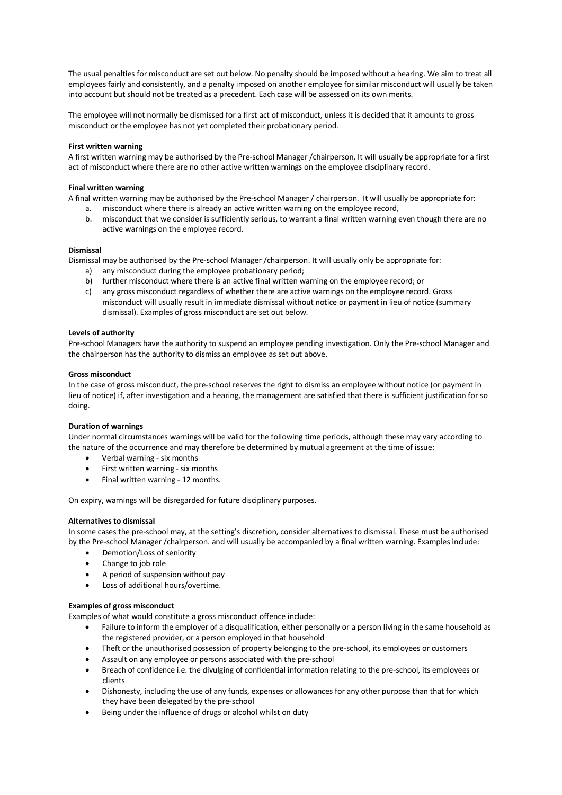The usual penalties for misconduct are set out below. No penalty should be imposed without a hearing. We aim to treat all employees fairly and consistently, and a penalty imposed on another employee for similar misconduct will usually be taken into account but should not be treated as a precedent. Each case will be assessed on its own merits.

The employee will not normally be dismissed for a first act of misconduct, unless it is decided that it amounts to gross misconduct or the employee has not yet completed their probationary period.

# **First written warning**

A first written warning may be authorised by the Pre-school Manager /chairperson. It will usually be appropriate for a first act of misconduct where there are no other active written warnings on the employee disciplinary record.

# **Final written warning**

A final written warning may be authorised by the Pre-school Manager / chairperson.It will usually be appropriate for:

- a. misconduct where there is already an active written warning on the employee record,
	- b. misconduct that we consider is sufficiently serious, to warrant a final written warning even though there are no active warnings on the employee record.

# **Dismissal**

Dismissal may be authorised by the Pre-school Manager /chairperson. It will usually only be appropriate for:

- a) any misconduct during the employee probationary period;
- b) further misconduct where there is an active final written warning on the employee record; or
- c) any gross misconduct regardless of whether there are active warnings on the employee record. Gross misconduct will usually result in immediate dismissal without notice or payment in lieu of notice (summary dismissal). Examples of gross misconduct are set out below.

# **Levels of authority**

Pre-school Managers have the authority to suspend an employee pending investigation. Only the Pre-school Manager and the chairperson has the authority to dismiss an employee as set out above.

# **Gross misconduct**

In the case of gross misconduct, the pre-school reserves the right to dismiss an employee without notice (or payment in lieu of notice) if, after investigation and a hearing, the management are satisfied that there is sufficient justification for so doing.

# **Duration of warnings**

Under normal circumstances warnings will be valid for the following time periods, although these may vary according to the nature of the occurrence and may therefore be determined by mutual agreement at the time of issue:

- Verbal warning six months
- First written warning six months
- Final written warning 12 months.

On expiry, warnings will be disregarded for future disciplinary purposes.

#### **Alternatives to dismissal**

In some cases the pre-school may, at the setting's discretion, consider alternatives to dismissal. These must be authorised by the Pre-school Manager /chairperson. and will usually be accompanied by a final written warning. Examples include:

- Demotion/Loss of seniority
- Change to job role
- A period of suspension without pay
- Loss of additional hours/overtime.

# **Examples of gross misconduct**

Examples of what would constitute a gross misconduct offence include:

- Failure to inform the employer of a disqualification, either personally or a person living in the same household as the registered provider, or a person employed in that household
- Theft or the unauthorised possession of property belonging to the pre-school, its employees or customers
- Assault on any employee or persons associated with the pre-school
- Breach of confidence i.e. the divulging of confidential information relating to the pre-school, its employees or clients
- Dishonesty, including the use of any funds, expenses or allowances for any other purpose than that for which they have been delegated by the pre-school
- Being under the influence of drugs or alcohol whilst on duty